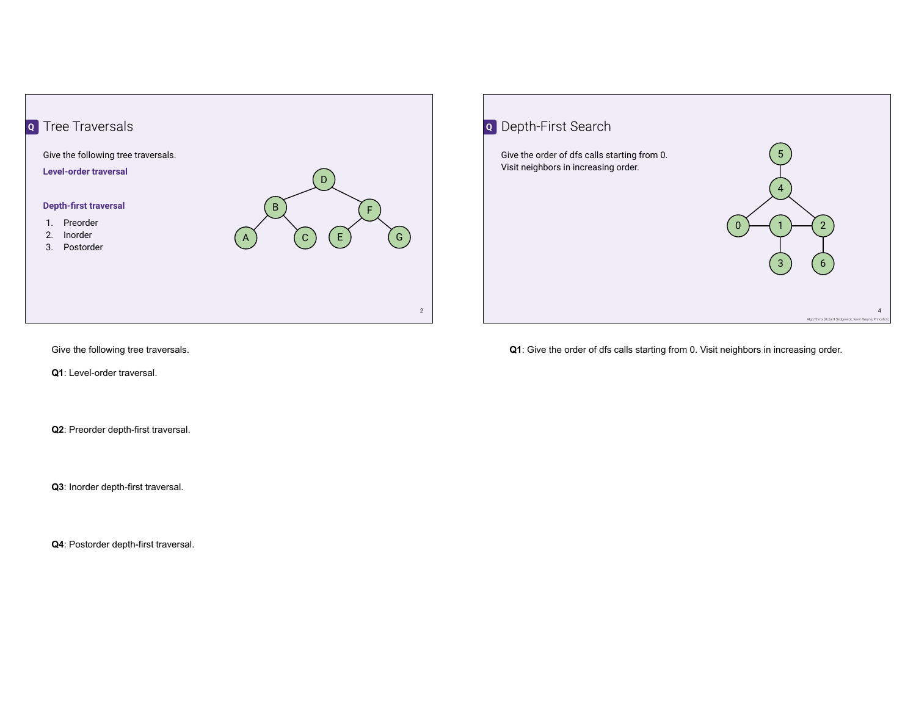



Give the following tree traversals.

**Q1**: Level-order traversal.

**Q2**: Preorder depth-first traversal.

**Q3**: Inorder depth-first traversal.

**Q4**: Postorder depth-first traversal.

**Q1**: Give the order of dfs calls starting from 0. Visit neighbors in increasing order.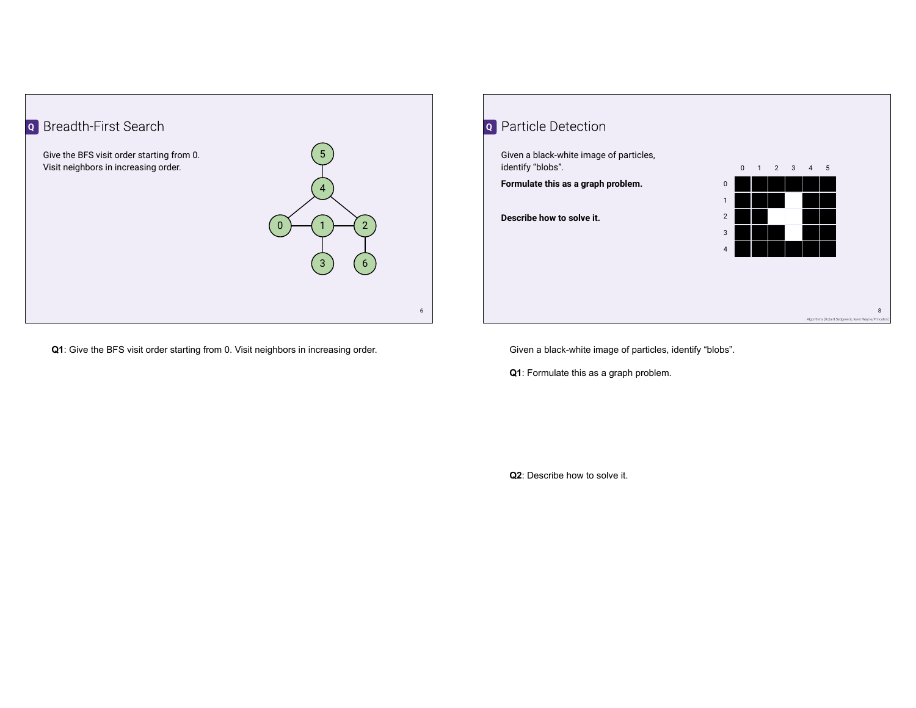

**Q1**: Give the BFS visit order starting from 0. Visit neighbors in increasing order.



Given a black-white image of particles, identify "blobs".

**Q1**: Formulate this as a graph problem.

**Q2**: Describe how to solve it.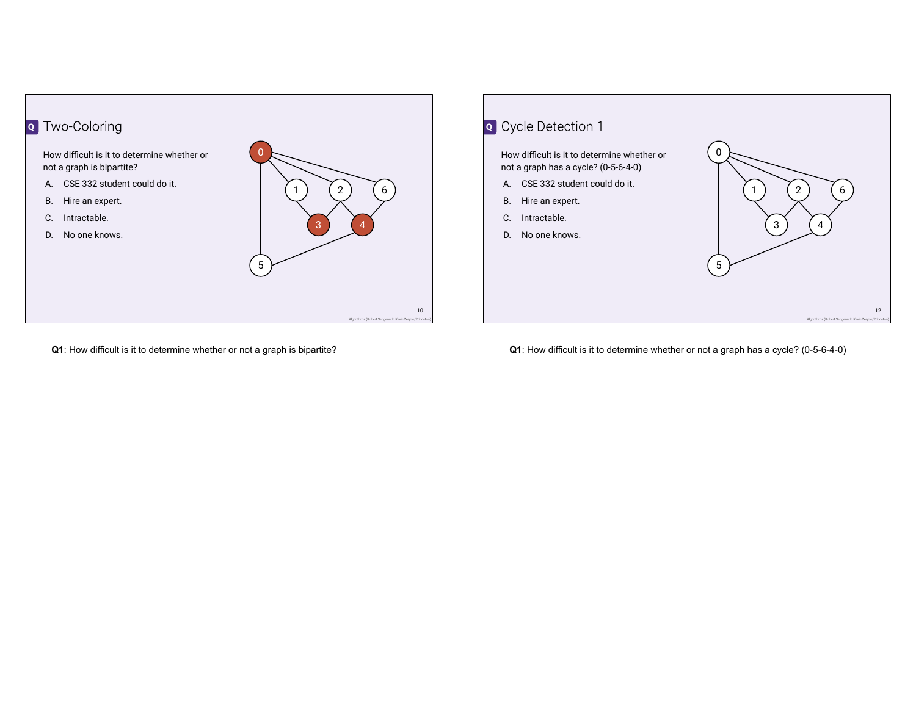



**Q1**: How difficult is it to determine whether or not a graph is bipartite?

**Q1**: How difficult is it to determine whether or not a graph has a cycle? (0-5-6-4-0)